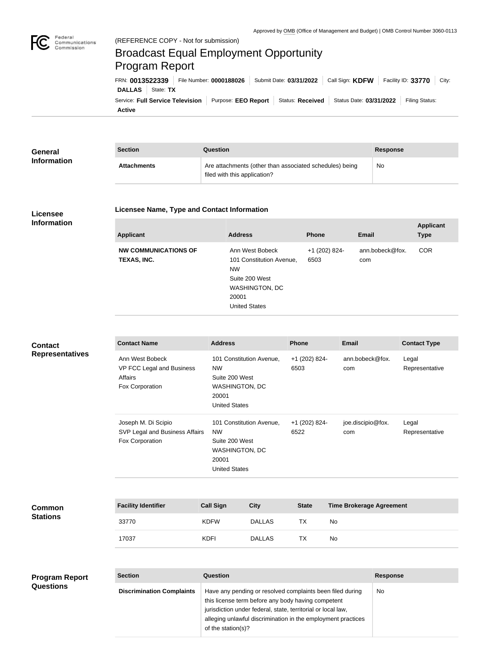

## Broadcast Equal Employment Opportunity Program Report

**Active** Service: Full Service Television | Purpose: EEO Report | Status: Received | Status Date: 03/31/2022 | Filing Status: **DALLAS** State: **TX** FRN: **0013522339** File Number: **0000188026** Submit Date: **03/31/2022** Call Sign: **KDFW** Facility ID: **33770** City:

| <b>General</b><br><b>Information</b> | <b>Section</b>     | Question                                                                                | Response |
|--------------------------------------|--------------------|-----------------------------------------------------------------------------------------|----------|
|                                      | <b>Attachments</b> | Are attachments (other than associated schedules) being<br>filed with this application? | No       |

## **Licensee Information**

## **Licensee Name, Type and Contact Information**

| <b>Applicant</b>                           | <b>Address</b>                                                                                                                       | <b>Phone</b>          | <b>Email</b>           | <b>Applicant</b><br><b>Type</b> |
|--------------------------------------------|--------------------------------------------------------------------------------------------------------------------------------------|-----------------------|------------------------|---------------------------------|
| <b>NW COMMUNICATIONS OF</b><br>TEXAS, INC. | Ann West Bobeck<br>101 Constitution Avenue,<br><b>NW</b><br>Suite 200 West<br><b>WASHINGTON, DC</b><br>20001<br><b>United States</b> | +1 (202) 824-<br>6503 | ann.bobeck@fox.<br>com | <b>COR</b>                      |

| <b>Contact</b><br><b>Representatives</b> | <b>Contact Name</b>                                                        |                    | <b>Address</b>                                                                                             |                                                                                      |                       | <b>Phone</b>          |           | <b>Email</b>                    | <b>Contact Type</b>     |
|------------------------------------------|----------------------------------------------------------------------------|--------------------|------------------------------------------------------------------------------------------------------------|--------------------------------------------------------------------------------------|-----------------------|-----------------------|-----------|---------------------------------|-------------------------|
|                                          | Ann West Bobeck<br>VP FCC Legal and Business<br>Affairs<br>Fox Corporation | <b>NW</b><br>20001 |                                                                                                            | 101 Constitution Avenue,<br>Suite 200 West<br>WASHINGTON, DC<br><b>United States</b> |                       | +1 (202) 824-<br>6503 |           | ann.bobeck@fox.<br>com          | Legal<br>Representative |
|                                          | Joseph M. Di Scipio<br>SVP Legal and Business Affairs<br>Fox Corporation   |                    | 101 Constitution Avenue,<br><b>NW</b><br>Suite 200 West<br>WASHINGTON, DC<br>20001<br><b>United States</b> |                                                                                      | +1 (202) 824-<br>6522 |                       |           | joe.discipio@fox.<br>com        | Legal<br>Representative |
|                                          |                                                                            |                    |                                                                                                            |                                                                                      |                       |                       |           |                                 |                         |
| <b>Common</b><br><b>Stations</b>         | <b>Facility Identifier</b>                                                 |                    | <b>Call Sign</b>                                                                                           | <b>City</b>                                                                          |                       | <b>State</b>          |           | <b>Time Brokerage Agreement</b> |                         |
|                                          | 33770                                                                      | <b>KDFW</b>        |                                                                                                            | <b>DALLAS</b>                                                                        |                       | <b>TX</b>             | <b>No</b> |                                 |                         |
|                                          | 17037                                                                      | <b>KDFI</b>        |                                                                                                            | <b>DALLAS</b>                                                                        |                       | <b>TX</b>             | <b>No</b> |                                 |                         |
|                                          |                                                                            |                    |                                                                                                            |                                                                                      |                       |                       |           |                                 |                         |
|                                          |                                                                            |                    |                                                                                                            |                                                                                      |                       |                       |           |                                 |                         |

| <b>Section</b>                   | Question                                                     | <b>Response</b> |  |
|----------------------------------|--------------------------------------------------------------|-----------------|--|
| <b>Discrimination Complaints</b> | Have any pending or resolved complaints been filed during    | <b>No</b>       |  |
|                                  | this license term before any body having competent           |                 |  |
|                                  | jurisdiction under federal, state, territorial or local law, |                 |  |
|                                  | alleging unlawful discrimination in the employment practices |                 |  |
|                                  | of the station(s)?                                           |                 |  |
|                                  |                                                              |                 |  |